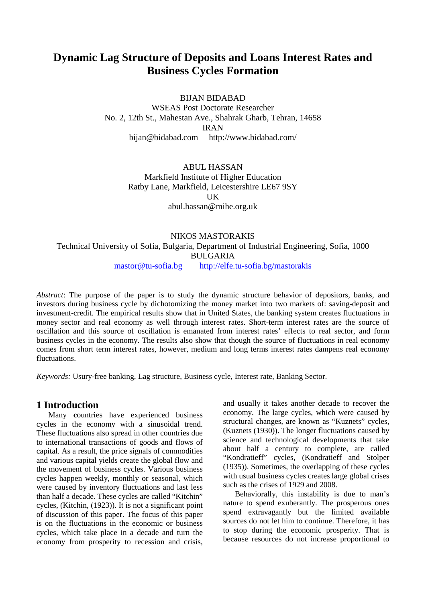# **Dynamic Lag Structure of Deposits and Loans Interest Rates and Business Cycles Formation**

BIJAN BIDABAD

WSEAS Post Doctorate Researcher No. 2, 12th St., Mahestan Ave., Shahrak Gharb, Tehran, 14658 IRAN [bijan@bidabad.com](mailto:bijan@bidabad.com) <http://www.bidabad.com/>

> ABUL HASSAN Markfield Institute of Higher Education Ratby Lane, Markfield, Leicestershire LE67 9SY UK [abul.hassan@mihe.org.uk](mailto:abul.hassan@mihe.org.uk)

### NIKOS MASTORAKIS Technical University of Sofia, Bulgaria, Department of Industrial Engineering, Sofia, 1000 BULGARIA [mastor@tu-sofia.bg](mailto:mastor@tu-sofia.bg) <http://elfe.tu-sofia.bg/mastorakis>

*Abstract*: The purpose of the paper is to study the dynamic structure behavior of depositors, banks, and investors during business cycle by dichotomizing the money market into two markets of: saving-deposit and investment-credit. The empirical results show that in United States, the banking system creates fluctuations in money sector and real economy as well through interest rates. Short-term interest rates are the source of oscillation and this source of oscillation is emanated from interest rates' effects to real sector, and form business cycles in the economy. The results also show that though the source of fluctuations in real economy comes from short term interest rates, however, medium and long terms interest rates dampens real economy fluctuations.

*Keywords:* Usury-free banking, Lag structure, Business cycle, Interest rate, Banking Sector.

#### **1 Introduction**

Many **c**ountries have experienced business cycles in the economy with a sinusoidal trend. These fluctuations also spread in other countries due to international transactions of goods and flows of capital. As a result, the price signals of commodities and various capital yields create the global flow and the movement of business cycles. Various business cycles happen weekly, monthly or seasonal, which were caused by inventory fluctuations and last less than half a decade. These cycles are called "Kitchin" cycles, (Kitchin, (1923)). It is not a significant point of discussion of this paper. The focus of this paper is on the fluctuations in the economic or business cycles, which take place in a decade and turn the economy from prosperity to recession and crisis, and usually it takes another decade to recover the economy. The large cycles, which were caused by structural changes, are known as "Kuznets" cycles, (Kuznets (1930)). The longer fluctuations caused by science and technological developments that take about half a century to complete, are called "Kondratieff" cycles, (Kondratieff and Stolper (1935)). Sometimes, the overlapping of these cycles with usual business cycles creates large global crises such as the crises of 1929 and 2008.

 Behaviorally, this instability is due to man's nature to spend exuberantly. The prosperous ones spend extravagantly but the limited available sources do not let him to continue. Therefore, it has to stop during the economic prosperity. That is because resources do not increase proportional to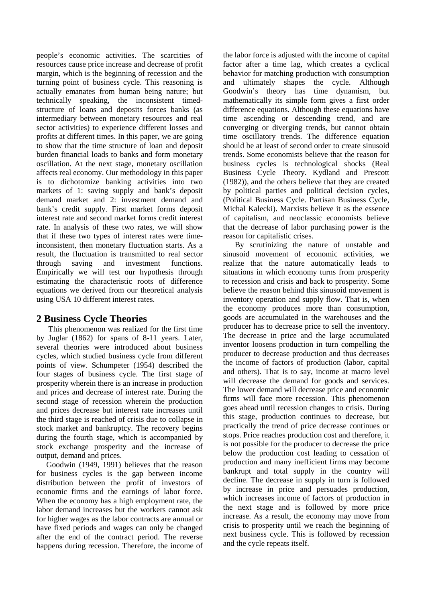people's economic activities. The scarcities of resources cause price increase and decrease of profit margin, which is the beginning of recession and the turning point of business cycle. This reasoning is actually emanates from human being nature; but technically speaking, the inconsistent timedstructure of loans and deposits forces banks (as intermediary between monetary resources and real sector activities) to experience different losses and profits at different times. In this paper, we are going to show that the time structure of loan and deposit burden financial loads to banks and form monetary oscillation. At the next stage, monetary oscillation affects real economy. Our methodology in this paper is to dichotomize banking activities into two markets of 1: saving supply and bank's deposit demand market and 2: investment demand and bank's credit supply. First market forms deposit interest rate and second market forms credit interest rate. In analysis of these two rates, we will show that if these two types of interest rates were timeinconsistent, then monetary fluctuation starts. As a result, the fluctuation is transmitted to real sector through saving and investment functions. Empirically we will test our hypothesis through estimating the characteristic roots of difference equations we derived from our theoretical analysis using USA 10 different interest rates.

#### **2 Business Cycle Theories**

 This phenomenon was realized for the first time by Juglar (1862) for spans of 8-11 years. Later, several theories were introduced about business cycles, which studied business cycle from different points of view. Schumpeter (1954) described the four stages of business cycle. The first stage of prosperity wherein there is an increase in production and prices and decrease of interest rate. During the second stage of recession wherein the production and prices decrease but interest rate increases until the third stage is reached of crisis due to collapse in stock market and bankruptcy. The recovery begins during the fourth stage, which is accompanied by stock exchange prosperity and the increase of output, demand and prices.

 Goodwin (1949, 1991) believes that the reason for business cycles is the gap between income distribution between the profit of investors of economic firms and the earnings of labor force. When the economy has a high employment rate, the labor demand increases but the workers cannot ask for higher wages as the labor contracts are annual or have fixed periods and wages can only be changed after the end of the contract period. The reverse happens during recession. Therefore, the income of the labor force is adjusted with the income of capital factor after a time lag, which creates a cyclical behavior for matching production with consumption and ultimately shapes the cycle. Although Goodwin's theory has time dynamism, but mathematically its simple form gives a first order difference equations. Although these equations have time ascending or descending trend, and are converging or diverging trends, but cannot obtain time oscillatory trends. The difference equation should be at least of second order to create sinusoid trends. Some economists believe that the reason for business cycles is technological shocks (Real Business Cycle Theory. Kydland and Prescott (1982)), and the others believe that they are created by political parties and political decision cycles, (Political Business Cycle. Partisan Business Cycle, Michal Kalecki). Marxists believe it as the essence of capitalism, and neoclassic economists believe that the decrease of labor purchasing power is the reason for capitalistic crises.

 By scrutinizing the nature of unstable and sinusoid movement of economic activities, we realize that the nature automatically leads to situations in which economy turns from prosperity to recession and crisis and back to prosperity. Some believe the reason behind this sinusoid movement is inventory operation and supply flow. That is, when the economy produces more than consumption, goods are accumulated in the warehouses and the producer has to decrease price to sell the inventory. The decrease in price and the large accumulated inventor loosens production in turn compelling the producer to decrease production and thus decreases the income of factors of production (labor, capital and others). That is to say, income at macro level will decrease the demand for goods and services. The lower demand will decrease price and economic firms will face more recession. This phenomenon goes ahead until recession changes to crisis. During this stage, production continues to decrease, but practically the trend of price decrease continues or stops. Price reaches production cost and therefore, it is not possible for the producer to decrease the price below the production cost leading to cessation of production and many inefficient firms may become bankrupt and total supply in the country will decline. The decrease in supply in turn is followed by increase in price and persuades production, which increases income of factors of production in the next stage and is followed by more price increase. As a result, the economy may move from crisis to prosperity until we reach the beginning of next business cycle. This is followed by recession and the cycle repeats itself.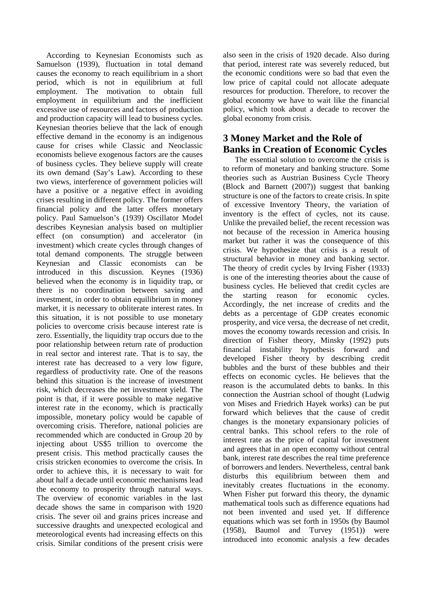According to Keynesian Economists such as Samuelson (1939), fluctuation in total demand causes the economy to reach equilibrium in a short period, which is not in equilibrium at full employment. The motivation to obtain full employment in equilibrium and the inefficient excessive use of resources and factors of production and production capacity will lead to business cycles. Keynesian theories believe that the lack of enough effective demand in the economy is an indigenous cause for crises while Classic and Neoclassic economists believe exogenous factors are the causes of business cycles. They believe supply will create its own demand (Say's Law). According to these two views, interference of government policies will have a positive or a negative effect in avoiding crises resulting in different policy. The former offers financial policy and the latter offers monetary policy. Paul Samuelson's (1939) Oscillator Model describes Keynesian analysis based on multiplier effect (on consumption) and accelerator (in investment) which create cycles through changes of total demand components. The struggle between Keynesian and Classic economists can be introduced in this discussion. Keynes (1936) believed when the economy is in liquidity trap, or there is no coordination between saving and investment, in order to obtain equilibrium in money market, it is necessary to obliterate interest rates. In this situation, it is not possible to use monetary policies to overcome crisis because interest rate is zero. Essentially, the liquidity trap occurs due to the poor relationship between return rate of production in real sector and interest rate. That is to say, the interest rate has decreased to a very low figure, regardless of productivity rate. One of the reasons behind this situation is the increase of investment risk, which decreases the net investment yield. The point is that, if it were possible to make negative interest rate in the economy, which is practically impossible, monetary policy would be capable of overcoming crisis. Therefore, national policies are recommended which are conducted in Group 20 by injecting about US\$5 trillion to overcome the present crisis. This method practically causes the crisis stricken economies to overcome the crisis. In order to achieve this, it is necessary to wait for about half a decade until economic mechanisms lead the economy to prosperity through natural ways. The overview of economic variables in the last decade shows the same in comparison with 1920 crisis. The sever oil and grains prices increase and successive draughts and unexpected ecological and meteorological events had increasing effects on this crisis. Similar conditions of the present crisis were also seen in the crisis of 1920 decade. Also during that period, interest rate was severely reduced, but the economic conditions were so bad that even the low price of capital could not allocate adequate resources for production. Therefore, to recover the global economy we have to wait like the financial policy, which took about a decade to recover the global economy from crisis.

# **3 Money Market and the Role of Banks in Creation of Economic Cycles**

 The essential solution to overcome the crisis is to reform of monetary and banking structure. Some theories such as Austrian Business Cycle Theory (Block and Barnett (2007)) suggest that banking structure is one of the factors to create crisis. In spite of excessive Inventory Theory, the variation of inventory is the effect of cycles, not its cause. Unlike the prevailed belief, the recent recession was not because of the recession in America housing market but rather it was the consequence of this crisis. We hypothesize that crisis is a result of structural behavior in money and banking sector. The theory of credit cycles by Irving Fisher (1933) is one of the interesting theories about the cause of business cycles. He believed that credit cycles are the starting reason for economic cycles. Accordingly, the net increase of credits and the debts as a percentage of GDP creates economic prosperity, and vice versa, the decrease of net credit, moves the economy towards recession and crisis. In direction of Fisher theory, Minsky (1992) puts financial instability hypothesis forward and developed Fisher theory by describing credit bubbles and the burst of these bubbles and their effects on economic cycles. He believes that the reason is the accumulated debts to banks. In this connection the Austrian school of thought (Ludwig von Mises and Friedrich Hayek works) can be put forward which believes that the cause of credit changes is the monetary expansionary policies of central banks. This school refers to the role of interest rate as the price of capital for investment and agrees that in an open economy without central bank, interest rate describes the real time preference of borrowers and lenders. Nevertheless, central bank disturbs this equilibrium between them and inevitably creates fluctuations in the economy. When Fisher put forward this theory, the dynamic mathematical tools such as difference equations had not been invented and used yet. If difference equations which was set forth in 1950s (by Baumol (1958), Baumol and Turvey (1951)) were introduced into economic analysis a few decades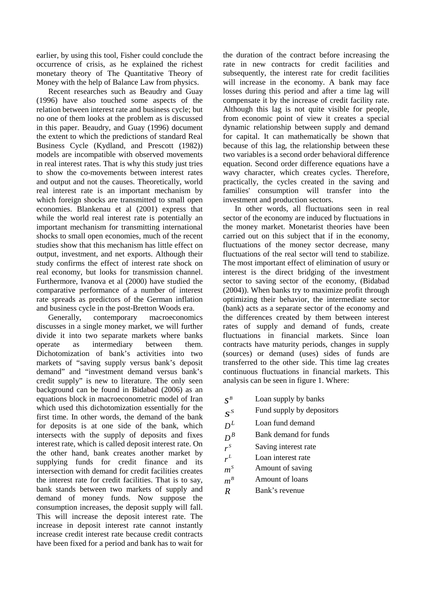earlier, by using this tool, Fisher could conclude the occurrence of crisis, as he explained the richest monetary theory of The Quantitative Theory of Money with the help of Balance Law from physics.

 Recent researches such as Beaudry and Guay (1996) have also touched some aspects of the relation between interest rate and business cycle; but no one of them looks at the problem as is discussed in this paper. Beaudry, and Guay (1996) document the extent to which the predictions of standard Real Business Cycle (Kydland, and Prescott (1982)) models are incompatible with observed movements in real interest rates. That is why this study just tries to show the co-movements between interest rates and output and not the causes. Theoretically, world real interest rate is an important mechanism by which foreign shocks are transmitted to small open economies. Blankenau et al (2001) express that while the world real interest rate is potentially an important mechanism for transmitting international shocks to small open economies, much of the recent studies show that this mechanism has little effect on output, investment, and net exports. Although their study confirms the effect of interest rate shock on real economy, but looks for transmission channel. Furthermore, Ivanova et al (2000) have studied the comparative performance of a number of interest rate spreads as predictors of the German inflation

and business cycle in the post-Bretton Woods era.<br>Generally, contemporary macroeconomi Generally, contemporary macroeconomics discusses in a single money market, we will further divide it into two separate markets where banks operate as intermediary between them. Dichotomization of bank's activities into two markets of "saving supply versus bank's deposit demand" and "investment demand versus bank's credit supply" is new to literature. The only seen background can be found in Bidabad (2006) as an equations block in macroeconometric model of Iran which used this dichotomization essentially for the first time. In other words, the demand of the bank for deposits is at one side of the bank, which intersects with the supply of deposits and fixes interest rate, which is called deposit interest rate. On the other hand, bank creates another market by supplying funds for credit finance and its intersection with demand for credit facilities creates the interest rate for credit facilities. That is to say, bank stands between two markets of supply and demand of money funds. Now suppose the consumption increases, the deposit supply will fall. This will increase the deposit interest rate. The increase in deposit interest rate cannot instantly increase credit interest rate because credit contracts have been fixed for a period and bank has to wait for the duration of the contract before increasing the rate in new contracts for credit facilities and subsequently, the interest rate for credit facilities will increase in the economy. A bank may face losses during this period and after a time lag will compensate it by the increase of credit facility rate. Although this lag is not quite visible for people, from economic point of view it creates a special dynamic relationship between supply and demand for capital. It can mathematically be shown that because of this lag, the relationship between these two variables is a second order behavioral difference equation. Second order difference equations have a wavy character, which creates cycles. Therefore, practically, the cycles created in the saving and families' consumption will transfer into the investment and production sectors.

 In other words, all fluctuations seen in real sector of the economy are induced by fluctuations in the money market. Monetarist theories have been carried out on this subject that if in the economy, fluctuations of the money sector decrease, many fluctuations of the real sector will tend to stabilize. The most important effect of elimination of usury or interest is the direct bridging of the investment sector to saving sector of the economy, (Bidabad (2004)). When banks try to maximize profit through optimizing their behavior, the intermediate sector (bank) acts as a separate sector of the economy and the differences created by them between interest rates of supply and demand of funds, create fluctuations in financial markets. Since loan contracts have maturity periods, changes in supply (sources) or demand (uses) sides of funds are transferred to the other side. This time lag creates continuous fluctuations in financial markets. This analysis can be seen in figure 1. Where:

- $S^B$  *Loan supply by banks*
- $S^S$  Fund supply by depositors<br> $D^L$  Loan fund demand
- Loan fund demand
- $D^B$  Bank demand for funds<br>  $r^S$  Saving interest rate
- **Saving interest rate**
- $r^L$ Loan interest rate
- $m^s$  Amount of saving
- $m<sup>B</sup>$  Amount of loans
- *R* Bank's revenue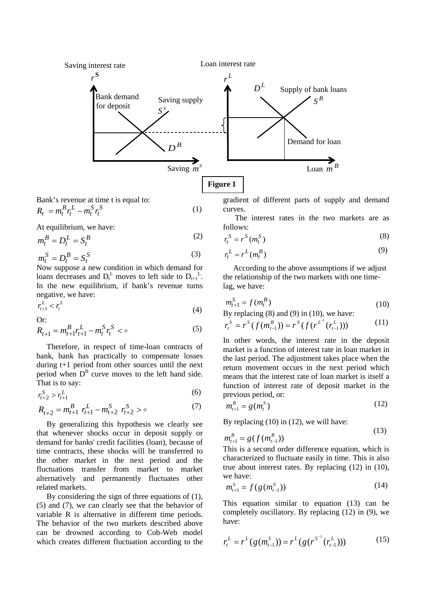

Bank's revenue at time t is equal to: (1) *S t S t L t*  $R_t = m_t^B r_t^L - m_t^S r_t^L$ 

At equilibrium, we have:

$$
m_t^B = D_t^L = S_t^B \tag{2}
$$

$$
m_t^S = D_t^B = S_t^S
$$
 (3)  
Now suppose a new condition in which demand for

loans decreases and  $D_t^L$  moves to left side to  $D_{t+1}^L$ . In the new equilibrium, if bank's revenue turns negative, we have:

$$
r_{t+1}^L < r_t^L \tag{4}
$$

Or:

$$
R_{t+1} = m_{t+1}^{B} r_{t+1}^{L} - m_{t}^{S} r_{t}^{S} < \circ \tag{5}
$$

Therefore, in respect of time-loan contracts of bank, bank has practically to compensate losses during t+1 period from other sources until the next period when  $D^B$  curve moves to the left hand side. That is to say:

$$
r_{t+2}^S > r_{t+1}^L \tag{6}
$$

$$
R_{t+2} = m_{t+1}^{B} r_{t+1}^{L} - m_{t+2}^{S} r_{t+2}^{S} > 0
$$
 (7)

By generalizing this hypothesis we clearly see that whenever shocks occur in deposit supply or demand for banks' credit facilities (loan), because of time contracts, these shocks will be transferred to the other market in the next period and the fluctuations transfer from market to market alternatively and permanently fluctuates other related markets.

By considering the sign of three equations of (1), (5) and (7), we can clearly see that the behavior of variable R is alternative in different time periods. The behavior of the two markets described above can be drowned according to Cob-Web model which creates different fluctuation according to the gradient of different parts of supply and demand curves.

 The interest rates in the two markets are as follows:

$$
r_t^S = r^S(m_t^S) \tag{8}
$$

$$
r_t^L = r^L(m_t^B)
$$
\n(9)

According to the above assumptions if we adjust the relationship of the two markets with one timelag, we have:

$$
m_{t+1}^S = f(m_t^B)
$$
 (10)

By replacing  $(8)$  and  $(9)$  in  $(10)$ , we have:

$$
r_t^s = r^s(f(m_{t-1}^B)) = r^s(f(r^{L^1}(r_{t-1}^L)))
$$
 (11)

In other words, the interest rate in the deposit market is a function of interest rate in loan market in the last period. The adjustment takes place when the return movement occurs in the next period which means that the interest rate of loan market is itself a function of interest rate of deposit market in the previous period, or:

$$
m_{t+1}^B = g(m_t^S)
$$
 (12)

By replacing (10) in (12), we will have:

$$
m_{t+1}^B = g(f(m_{t-1}^B))
$$
\n(13)

This is a second order difference equation, which is characterized to fluctuate easily in time. This is also true about interest rates. By replacing (12) in (10), we have:

$$
m_{t+1}^S = f(g(m_{t-1}^S))
$$
 (14)

This equation similar to equation (13) can be completely oscillatory. By replacing (12) in (9), we have:

$$
r_t^L = r^L(g(m_{t-1}^S)) = r^L(g(r^{S^{-1}}(r_{t-1}^L)))
$$
\n(15)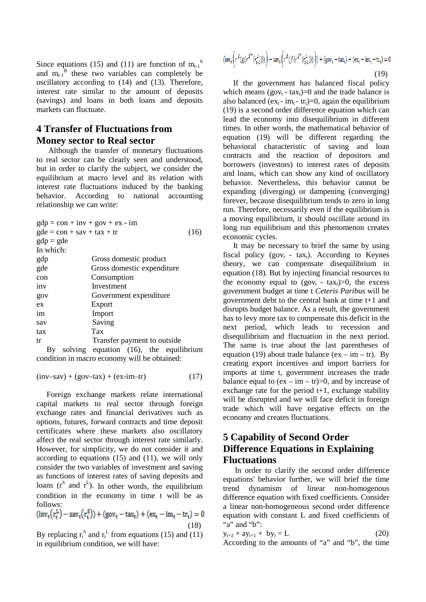Since equations (15) and (11) are function of  $m_{t-1}$ <sup>S</sup> and  $m_{t-1}$ <sup>B</sup> these two variables can completely be oscillatory according to (14) and (13). Therefore, interest rate similar to the amount of deposits (savings) and loans in both loans and deposits markets can fluctuate.

## **4 Transfer of Fluctuations from Money sector to Real sector**

 Although the transfer of monetary fluctuations to real sector can be clearly seen and understood, but in order to clarify the subject, we consider the equilibrium at macro level and its relation with interest rate fluctuations induced by the banking behavior. According to national accounting relationship we can write:

| $gdp = con + inv + gov + ex - im$ |                                        |      |  |  |  |  |
|-----------------------------------|----------------------------------------|------|--|--|--|--|
| $gde = con + sav + tax + tr$      |                                        | (16) |  |  |  |  |
| $gdp = gde$                       |                                        |      |  |  |  |  |
| In which:                         |                                        |      |  |  |  |  |
| gdp                               | Gross domestic product                 |      |  |  |  |  |
| gde                               | Gross domestic expenditure             |      |  |  |  |  |
| Consumption<br>con                |                                        |      |  |  |  |  |
| inv                               | Investment                             |      |  |  |  |  |
| gov                               | Government expenditure                 |      |  |  |  |  |
| ex                                | Export                                 |      |  |  |  |  |
| im                                | Import                                 |      |  |  |  |  |
| sav                               | Saving                                 |      |  |  |  |  |
| tax                               | Tax                                    |      |  |  |  |  |
| tr                                | Transfer payment to outside            |      |  |  |  |  |
| By                                | solving equation (16), the equilibrium |      |  |  |  |  |

condition in macro economy will be obtained:

 $(inv-sav) + (gov-tax) + (ex-im-tr)$  (17)

Foreign exchange markets relate international capital markets to real sector through foreign exchange rates and financial derivatives such as options, futures, forward contracts and time deposit certificates where these markets also oscillatory affect the real sector through interest rate similarly. However, for simplicity, we do not consider it and according to equations (15) and (11), we will only consider the two variables of investment and saving as functions of interest rates of saving deposits and loans  $(r^S \text{ and } r^L)$ . In other words, the equilibrium condition in the economy in time t will be as follows:

$$
(inv_t(r_t^L) - sav_t(r_t^S)) + (gov_t - tax_t) + (ex_t - im_t - tr_t) = 0
$$
 (18)

By replacing  $r_t^s$  and  $r_t^L$  from equations (15) and (11) in equilibrium condition, we will have:

$$
(\text{inv}_{t}\left(r^{L}(g(r^{S^{-1}}(r_{t-1}^{L})))\right) - \text{sav}_{t}\left(r^{S}(f(r^{L^{1}}(r_{t-1}^{L})))\right) + (\text{gov}_{t} - \text{tax}_{t}) + (\text{ex}_{t} - \text{im}_{t} - \text{tr}_{t}) = 0
$$
\n(19)

If the government has balanced fiscal policy which means (gov<sub>t</sub> - tax<sub>t</sub>)=0 and the trade balance is also balanced (ex<sub>t</sub> - im<sub>t</sub> - tr<sub>t</sub>)=0, again the equilibrium (19) is a second order difference equation which can lead the economy into disequilibrium in different times. In other words, the mathematical behavior of equation (19) will be different regarding the behavioral characteristic of saving and loan contracts and the reaction of depositors and borrowers (investors) to interest rates of deposits and loans, which can show any kind of oscillatory behavior. Nevertheless, this behavior cannot be expanding (diverging) or dampening (converging) forever, because disequilibrium tends to zero in long run. Therefore, necessarily even if the equilibrium is a moving equilibrium, it should oscillate around its long run equilibrium and this phenomenon creates economic cycles.

It may be necessary to brief the same by using fiscal policy (gov<sub>t</sub> - tax<sub>t</sub>). According to Keynes theory, we can compensate disequilibrium in equation (18). But by injecting financial resources to the economy equal to  $(gov_t - tax_t) > 0$ , the excess government budget at time t *Ceteris Paribus* will be government debt to the central bank at time t+1 and disrupts budget balance. As a result, the government has to levy more tax to compensate this deficit in the next period, which leads to recession and disequilibrium and fluctuation in the next period. The same is true about the last parentheses of equation (19) about trade balance (ex – im – tr). By creating export incentives and import barriers for imports at time t, government increases the trade balance equal to  $(ex - im - tr) > 0$ , and by increase of exchange rate for the period  $t+1$ , exchange stability will be disrupted and we will face deficit in foreign trade which will have negative effects on the economy and creates fluctuations.

# **5 Capability of Second Order Difference Equations in Explaining Fluctuations**

 In order to clarify the second order difference equations' behavior further, we will brief the time trend dynamism of linear non-homogenous difference equation with fixed coefficients. Consider a linear non-homogeneous second order difference equation with constant L and fixed coefficients of "a" and "b":

$$
y_{t+2} + ay_{t+1} + by_t = L
$$
 (20)  
According to the amounts of "a" and "b", the time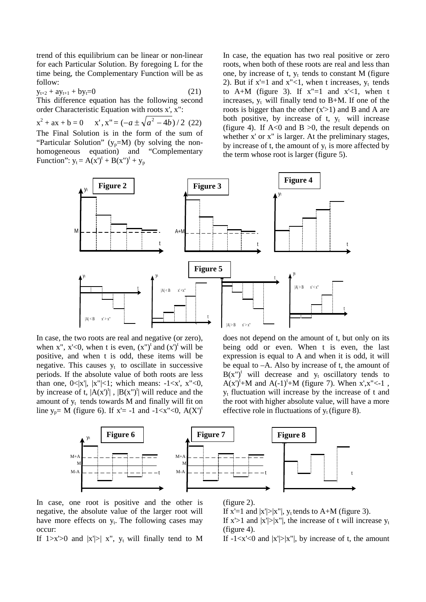trend of this equilibrium can be linear or non-linear for each Particular Solution. By foregoing L for the time being, the Complementary Function will be as follow:

$$
y_{t+2} + ay_{t+1} + by_t = 0 \tag{21}
$$

This difference equation has the following second order Characteristic Equation with roots x', x":

 $x^{2} + ax + b = 0$   $x', x'' = (-a \pm \sqrt{a^{2} - 4b})/2$  (22) The Final Solution is in the form of the sum of "Particular Solution" ( $y_p=M$ ) (by solving the nonhomogeneous equation) and "Complementary Function":  $y_t = A(x')^t + B(x'')^t + y_p$ 

In case, the equation has two real positive or zero roots, when both of these roots are real and less than one, by increase of t,  $y_t$  tends to constant M (figure 2). But if  $x'=1$  and  $x''<1$ , when t increases,  $y_t$  tends to A+M (figure 3). If  $x''=1$  and  $x' < 1$ , when t increases,  $y_t$  will finally tend to B+M. If one of the roots is bigger than the other  $(x > 1)$  and B and A are both positive, by increase of  $t$ ,  $y_t$  will increase (figure 4). If  $A < 0$  and  $B > 0$ , the result depends on whether x' or x" is larger. At the preliminary stages, by increase of t, the amount of  $y_t$  is more affected by the term whose root is larger (figure 5).



In case, the two roots are real and negative (or zero), when x",  $x' < 0$ , when t is even,  $(x'')^t$  and  $(x')^t$  will be positive, and when t is odd, these items will be negative. This causes  $y_t$  to oscillate in successive periods. If the absolute value of both roots are less than one,  $0 \le |x'|$ ,  $|x''| \le 1$ ; which means:  $-1 \le x'$ ,  $x'' \le 0$ , by increase of t,  $|A(x')^t|$ ,  $|B(x'')^t|$  will reduce and the amount of  $y_t$  tends towards M and finally will fit on line  $y_p = M$  (figure 6). If  $x' = -1$  and  $-1 < x'' < 0$ ,  $A(X')^t$ 

does not depend on the amount of t, but only on its being odd or even. When t is even, the last expression is equal to A and when it is odd, it will be equal to –A. Also by increase of t, the amount of  $B(x'')^t$  will decrease and  $y_t$  oscillatory tends to  $A(x')^t + M$  and  $A(-1)^t + M$  (figure 7). When x',x"<-1,  $y_t$  fluctuation will increase by the increase of t and the root with higher absolute value, will have a more effective role in fluctuations of  $y_t$  (figure 8).



In case, one root is positive and the other is negative, the absolute value of the larger root will have more effects on  $y_t$ . The following cases may occur:

If  $1 \ge x' \ge 0$  and  $|x'| \ge |x''|$ , y<sub>t</sub> will finally tend to M

(figure 2).

If  $x'=1$  and  $|x'|>|x''|$ ,  $y_t$  tends to A+M (figure 3).

If  $x$ '>1 and  $|x'|$ >|x"|, the increase of t will increase  $y_t$ (figure 4).

If  $-1 < x' < 0$  and  $|x'| > |x''|$ , by increase of t, the amount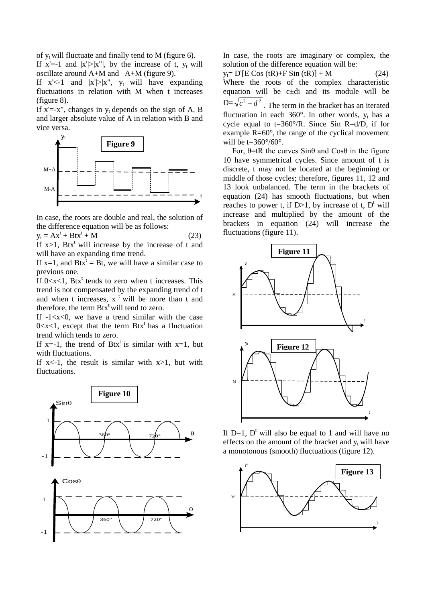of  $y_t$  will fluctuate and finally tend to M (figure 6).

If  $x'=-1$  and  $|x'|>|x''|$ , by the increase of t,  $y_t$  will oscillate around A+M and –A+M (figure 9).

If  $x' < -1$  and  $|x'| > |x''|$ ,  $y_t$  will have expanding fluctuations in relation with M when t increases (figure 8).

If  $x' = -x''$ , changes in  $y_t$  depends on the sign of A, B and larger absolute value of A in relation with B and vice versa.



In case, the roots are double and real, the solution of the difference equation will be as follows:

 $y_t = Ax^t + Btx^t + M$  (23)

If  $x>1$ , Btx<sup>t</sup> will increase by the increase of t and will have an expanding time trend.

If  $x=1$ , and  $Btx<sup>t</sup> = Bt$ , we will have a similar case to previous one.

If  $0 < x < 1$ , Btx<sup>t</sup> tends to zero when t increases. This trend is not compensated by the expanding trend of t and when t increases,  $x^t$  will be more than t and therefore, the term  $Btx^t$  will tend to zero.

If  $-1 \lt x \lt 0$ , we have a trend similar with the case  $0 < x < 1$ , except that the term Btx<sup>t</sup> has a fluctuation trend which tends to zero.

If x=-1, the trend of Btx<sup>t</sup> is similar with x=1, but with fluctuations.

If  $x \le -1$ , the result is similar with  $x > 1$ , but with fluctuations.



In case, the roots are imaginary or complex, the solution of the difference equation will be:

 $y_t = D^t [E \cos(tR) + F \sin(tR)] + M$  (24) Where the roots of the complex characteristic equation will be c±di and its module will be  $D=\sqrt{c^2+d^2}$ . The term in the bracket has an iterated fluctuation in each  $360^\circ$ . In other words,  $y_t$  has a cycle equal to  $t=360^{\circ}/R$ . Since Sin R=d/D, if for example R=60°, the range of the cyclical movement will be  $t=360^{\circ}/60^{\circ}$ .

For,  $\theta$ =tR the curves Sin $\theta$  and Cos $\theta$  in the figure 10 have symmetrical cycles. Since amount of t is discrete, t may not be located at the beginning or middle of those cycles; therefore, figures 11, 12 and 13 look unbalanced. The term in the brackets of equation (24) has smooth fluctuations, but when reaches to power t, if  $D>1$ , by increase of t,  $D<sup>t</sup>$  will increase and multiplied by the amount of the brackets in equation (24) will increase the fluctuations (figure 11).



If  $D=1$ ,  $D^t$  will also be equal to 1 and will have no effects on the amount of the bracket and  $y_t$  will have a monotonous (smooth) fluctuations (figure 12).

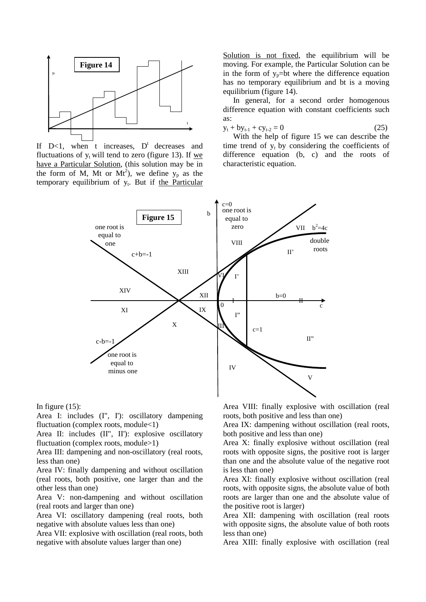

If  $D<1$ , when t increases,  $D<sup>t</sup>$  decreases and fluctuations of  $y_t$  will tend to zero (figure 13). If we have a Particular Solution, (this solution may be in the form of M, Mt or  $Mt^2$ ), we define  $y_p$  as the temporary equilibrium of  $y_t$ . But if the Particular

Solution is not fixed, the equilibrium will be moving. For example, the Particular Solution can be in the form of  $y_p=bt$  where the difference equation has no temporary equilibrium and bt is a moving equilibrium (figure 14).

In general, for a second order homogenous difference equation with constant coefficients such as:

$$
y_t + by_{t-1} + cy_{t-2} = 0 \tag{25}
$$

With the help of figure 15 we can describe the time trend of  $y_t$  by considering the coefficients of difference equation (b, c) and the roots of characteristic equation.



In figure  $(15)$ :

Area I: includes (I", I'): oscillatory dampening fluctuation (complex roots, module<1)

Area II: includes (II", II'): explosive oscillatory fluctuation (complex roots, module>1)

Area III: dampening and non-oscillatory (real roots, less than one)

Area IV: finally dampening and without oscillation (real roots, both positive, one larger than and the other less than one)

Area V: non-dampening and without oscillation (real roots and larger than one)

Area VI: oscillatory dampening (real roots, both negative with absolute values less than one)

Area VII: explosive with oscillation (real roots, both negative with absolute values larger than one)

Area VIII: finally explosive with oscillation (real roots, both positive and less than one)

Area IX: dampening without oscillation (real roots, both positive and less than one)

Area X: finally explosive without oscillation (real roots with opposite signs, the positive root is larger than one and the absolute value of the negative root is less than one)

Area XI: finally explosive without oscillation (real roots, with opposite signs, the absolute value of both roots are larger than one and the absolute value of the positive root is larger)

Area XII: dampening with oscillation (real roots with opposite signs, the absolute value of both roots less than one)

Area XIII: finally explosive with oscillation (real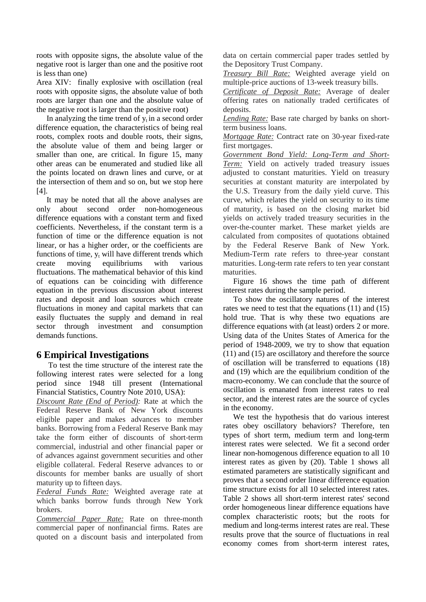roots with opposite signs, the absolute value of the negative root is larger than one and the positive root is less than one)

Area XIV: finally explosive with oscillation (real roots with opposite signs, the absolute value of both roots are larger than one and the absolute value of the negative root is larger than the positive root)

In analyzing the time trend of  $y_t$  in a second order difference equation, the characteristics of being real roots, complex roots and double roots, their signs, the absolute value of them and being larger or smaller than one, are critical. In figure 15, many other areas can be enumerated and studied like all the points located on drawn lines and curve, or at the intersection of them and so on, but we stop here [4].

It may be noted that all the above analyses are only about second order non-homogeneous difference equations with a constant term and fixed coefficients. Nevertheless, if the constant term is a function of time or the difference equation is not linear, or has a higher order, or the coefficients are functions of time,  $y_t$  will have different trends which create moving equilibriums with various fluctuations. The mathematical behavior of this kind of equations can be coinciding with difference equation in the previous discussion about interest rates and deposit and loan sources which create fluctuations in money and capital markets that can easily fluctuates the supply and demand in real sector through investment and consumption demands functions.

### **6 Empirical Investigations**

To test the time structure of the interest rate the following interest rates were selected for a long period since 1948 till present (International Financial Statistics, Country Note 2010, USA):

*Discount Rate (End of Period):* Rate at which the Federal Reserve Bank of New York discounts eligible paper and makes advances to member banks. Borrowing from a Federal Reserve Bank may take the form either of discounts of short-term commercial, industrial and other financial paper or of advances against government securities and other eligible collateral. Federal Reserve advances to or discounts for member banks are usually of short maturity up to fifteen days.

*Federal Funds Rate:* Weighted average rate at which banks borrow funds through New York brokers.

*Commercial Paper Rate:* Rate on three-month commercial paper of nonfinancial firms. Rates are quoted on a discount basis and interpolated from data on certain commercial paper trades settled by the Depository Trust Company.

*Treasury Bill Rate:* Weighted average yield on multiple-price auctions of 13-week treasury bills.

*Certificate of Deposit Rate:* Average of dealer offering rates on nationally traded certificates of deposits.

*Lending Rate:* Base rate charged by banks on shortterm business loans.

*Mortgage Rate:* Contract rate on 30-year fixed-rate first mortgages.

*Government Bond Yield: Long-Term and Short-Term:* Yield on actively traded treasury issues adjusted to constant maturities. Yield on treasury securities at constant maturity are interpolated by the U.S. Treasury from the daily yield curve. This curve, which relates the yield on security to its time of maturity, is based on the closing market bid yields on actively traded treasury securities in the over-the-counter market. These market yields are calculated from composites of quotations obtained by the Federal Reserve Bank of New York. Medium-Term rate refers to three-year constant maturities. Long-term rate refers to ten year constant maturities.

Figure 16 shows the time path of different interest rates during the sample period.

To show the oscillatory natures of the interest rates we need to test that the equations (11) and (15) hold true. That is why these two equations are difference equations with (at least) orders 2 or more. Using data of the Unites States of America for the period of 1948-2009, we try to show that equation (11) and (15) are oscillatory and therefore the source of oscillation will be transferred to equations (18) and (19) which are the equilibrium condition of the macro-economy. We can conclude that the source of oscillation is emanated from interest rates to real sector, and the interest rates are the source of cycles in the economy.

We test the hypothesis that do various interest rates obey oscillatory behaviors? Therefore, ten types of short term, medium term and long-term interest rates were selected. We fit a second order linear non-homogenous difference equation to all 10 interest rates as given by (20). Table 1 shows all estimated parameters are statistically significant and proves that a second order linear difference equation time structure exists for all 10 selected interest rates. Table 2 shows all short-term interest rates' second order homogeneous linear difference equations have complex characteristic roots; but the roots for medium and long-terms interest rates are real. These results prove that the source of fluctuations in real economy comes from short-term interest rates,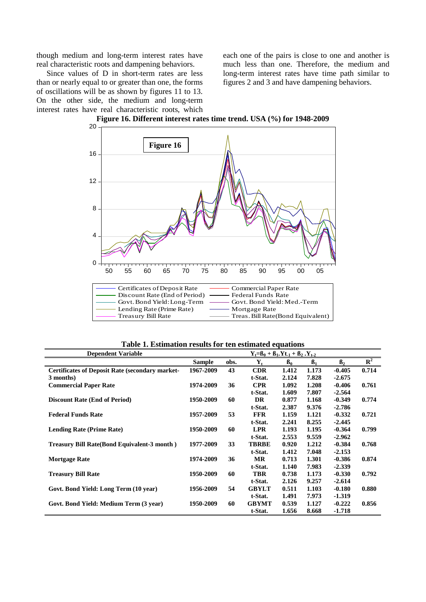though medium and long-term interest rates have real characteristic roots and dampening behaviors.

Since values of D in short-term rates are less than or nearly equal to or greater than one, the forms of oscillations will be as shown by figures 11 to 13. On the other side, the medium and long-term interest rates have real characteristic roots, which

each one of the pairs is close to one and another is much less than one. Therefore, the medium and long-term interest rates have time path similar to figures 2 and 3 and have dampening behaviors.



**Figure 16. Different interest rates time trend. USA (%) for 1948-2009**

**Table 1. Estimation results for ten estimated equations**

| <b>Dependent Variable</b>                              |               |      | $Y_t = B_0 + B_1.Yt_{-1} + B_2.Y_{t-2}$ |       |           |           |             |
|--------------------------------------------------------|---------------|------|-----------------------------------------|-------|-----------|-----------|-------------|
|                                                        | <b>Sample</b> | obs. | $\mathbf{Y}_{t}$                        | $B_0$ | $\beta_1$ | $\beta$ , | ${\bf R}^2$ |
| <b>Certificates of Deposit Rate (secondary market-</b> | 1967-2009     | 43   | <b>CDR</b>                              | 1.412 | 1.173     | $-0.405$  | 0.714       |
| 3 months)                                              |               |      | t-Stat.                                 | 2.124 | 7.828     | $-2.675$  |             |
| <b>Commercial Paper Rate</b>                           | 1974-2009     | 36   | <b>CPR</b>                              | 1.092 | 1.208     | $-0.406$  | 0.761       |
|                                                        |               |      | t-Stat.                                 | 1.609 | 7.807     | $-2.564$  |             |
| <b>Discount Rate (End of Period)</b>                   | 1950-2009     | 60   | <b>DR</b>                               | 0.877 | 1.168     | $-0.349$  | 0.774       |
|                                                        |               |      | t-Stat.                                 | 2.387 | 9.376     | $-2.786$  |             |
| <b>Federal Funds Rate</b>                              | 1957-2009     | 53   | <b>FFR</b>                              | 1.159 | 1.121     | $-0.332$  | 0.721       |
|                                                        |               |      | t-Stat.                                 | 2.241 | 8.255     | $-2.445$  |             |
| <b>Lending Rate (Prime Rate)</b>                       | 1950-2009     | 60   | <b>LPR</b>                              | 1.193 | 1.195     | $-0.364$  | 0.799       |
|                                                        |               |      | t-Stat.                                 | 2.553 | 9.559     | $-2.962$  |             |
| <b>Treasury Bill Rate(Bond Equivalent-3 month)</b>     | 1977-2009     | 33   | <b>TBRBE</b>                            | 0.920 | 1.212     | $-0.384$  | 0.768       |
|                                                        |               |      | t-Stat.                                 | 1.412 | 7.048     | $-2.153$  |             |
| <b>Mortgage Rate</b>                                   | 1974-2009     | 36   | <b>MR</b>                               | 0.713 | 1.301     | $-0.386$  | 0.874       |
|                                                        |               |      | t-Stat.                                 | 1.140 | 7.983     | $-2.339$  |             |
| <b>Treasury Bill Rate</b>                              | 1950-2009     | 60   | <b>TBR</b>                              | 0.738 | 1.173     | $-0.330$  | 0.792       |
|                                                        |               |      | t-Stat.                                 | 2.126 | 9.257     | $-2.614$  |             |
| Govt. Bond Yield: Long Term (10 year)                  | 1956-2009     | 54   | <b>GBYLT</b>                            | 0.511 | 1.103     | $-0.180$  | 0.880       |
|                                                        |               |      | t-Stat.                                 | 1.491 | 7.973     | $-1.319$  |             |
| Govt. Bond Yield: Medium Term (3 year)                 | 1950-2009     | 60   | <b>GBYMT</b>                            | 0.539 | 1.127     | $-0.222$  | 0.856       |
|                                                        |               |      | t-Stat.                                 | 1.656 | 8.668     | $-1.718$  |             |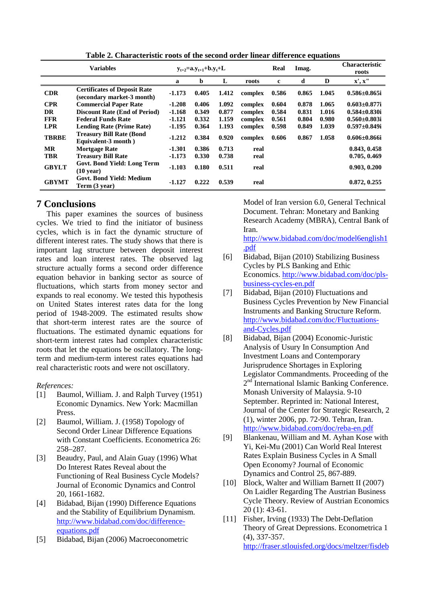|              | <b>Variables</b>                                                  | $y_{t+2} = a_y, y_{t+1} + b_y, y_t + L$ |       |       | Real    | Imag.       |       | <b>Characteristic</b><br>roots |                     |
|--------------|-------------------------------------------------------------------|-----------------------------------------|-------|-------|---------|-------------|-------|--------------------------------|---------------------|
|              |                                                                   | a                                       | b     | L     | roots   | $\mathbf c$ | d     | D                              | x', x''             |
| <b>CDR</b>   | <b>Certificates of Deposit Rate</b><br>(secondary market-3 month) | $-1.173$                                | 0.405 | 1.412 | complex | 0.586       | 0.865 | 1.045                          | $0.586 \pm 0.865$ i |
| <b>CPR</b>   | <b>Commercial Paper Rate</b>                                      | $-1.208$                                | 0.406 | 1.092 | complex | 0.604       | 0.878 | 1.065                          | $0.603 \pm 0.877$ i |
| <b>DR</b>    | <b>Discount Rate (End of Period)</b>                              | $-1.168$                                | 0.349 | 0.877 | complex | 0.584       | 0.831 | 1.016                          | $0.584 \pm 0.830$ i |
| <b>FFR</b>   | <b>Federal Funds Rate</b>                                         | $-1.121$                                | 0.332 | 1.159 | complex | 0.561       | 0.804 | 0.980                          | $0.560 \pm 0.803$ i |
| <b>LPR</b>   | <b>Lending Rate (Prime Rate)</b>                                  | $-1.195$                                | 0.364 | 1.193 | complex | 0.598       | 0.849 | 1.039                          | $0.597 \pm 0.849$ i |
| <b>TBRBE</b> | <b>Treasury Bill Rate (Bond)</b><br>Equivalent-3 month)           | $-1.212$                                | 0.384 | 0.920 | complex | 0.606       | 0.867 | 1.058                          | $0.606 \pm 0.866$ i |
| <b>MR</b>    | <b>Mortgage Rate</b>                                              | $-1.301$                                | 0.386 | 0.713 | real    |             |       |                                | 0.843, 0.458        |
| <b>TBR</b>   | <b>Treasury Bill Rate</b>                                         | $-1.173$                                | 0.330 | 0.738 | real    |             |       |                                | 0.705, 0.469        |
| <b>GBYLT</b> | Govt. Bond Yield: Long Term<br>$(10 \text{ year})$                | $-1.103$                                | 0.180 | 0.511 | real    |             |       |                                | 0.903, 0.200        |
| <b>GBYMT</b> | <b>Govt. Bond Yield: Medium</b><br>Term (3 year)                  | $-1.127$                                | 0.222 | 0.539 | real    |             |       |                                | 0.872, 0.255        |

**Table 2. Characteristic roots of the second order linear difference equations**

### **7 Conclusions**

This paper examines the sources of business cycles. We tried to find the initiator of business cycles, which is in fact the dynamic structure of different interest rates. The study shows that there is important lag structure between deposit interest rates and loan interest rates. The observed lag structure actually forms a second order difference equation behavior in banking sector as source of fluctuations, which starts from money sector and expands to real economy. We tested this hypothesis on United States interest rates data for the long period of 1948-2009. The estimated results show that short-term interest rates are the source of fluctuations. The estimated dynamic equations for short-term interest rates had complex characteristic roots that let the equations be oscillatory. The longterm and medium-term interest rates equations had real characteristic roots and were not oscillatory.

#### *References:*

- [1] Baumol, William. J. and Ralph Turvey (1951) Economic Dynamics. New York: Macmillan Press.
- [2] Baumol, William. J. (1958) Topology of Second Order Linear Difference Equations with Constant Coefficients. Econometrica 26: 258–287.
- [3] Beaudry, Paul, and Alain Guay (1996) What Do Interest Rates Reveal about the Functioning of Real Business Cycle Models? Journal of Economic Dynamics and Control 20, 1661-1682.
- [4] Bidabad, Bijan (1990) Difference Equations and the Stability of Equilibrium Dynamism. [http://www.bidabad.com/doc/difference](http://www.bidabad.com/doc/difference-equations.pdf)[equations.pdf](http://www.bidabad.com/doc/difference-equations.pdf)
- [5] Bidabad, Bijan (2006) Macroeconometric

Model of Iran version 6.0, General Technical Document. Tehran: Monetary and Banking Research Academy (MBRA), Central Bank of Iran.

[http://www.bidabad.com/doc/model6english1](http://www.bidabad.com/doc/model6english1.pdf) [.pdf](http://www.bidabad.com/doc/model6english1.pdf)

- [6] Bidabad, Bijan (2010) Stabilizing Business Cycles by PLS Banking and Ethic Economics. [http://www.bidabad.com/doc/pls](http://www.bidabad.com/doc/pls-business-cycles-en.pdf)[business-cycles-en.pdf](http://www.bidabad.com/doc/pls-business-cycles-en.pdf)
- [7] Bidabad, Bijan (2010) Fluctuations and Business Cycles Prevention by New Financial Instruments and Banking Structure Reform. [http://www.bidabad.com/doc/Fluctuations](http://www.bidabad.com/doc/Fluctuations-and-Cycles.pdf)[and-Cycles.pdf](http://www.bidabad.com/doc/Fluctuations-and-Cycles.pdf)
- [8] Bidabad, Bijan (2004) Economic-Juristic Analysis of Usury In Consumption And Investment Loans and Contemporary Jurisprudence Shortages in Exploring Legislator Commandments. Proceeding of the 2<sup>nd</sup> International Islamic Banking Conference. Monash University of Malaysia. 9-10 September. Reprinted in: National Interest, Journal of the Center for Strategic Research, 2 (1), winter 2006, pp. 72-90. Tehran, Iran. <http://www.bidabad.com/doc/reba-en.pdf>
- [9] Blankenau, William and M. Ayhan Kose with Yi, Kei-Mu (2001) Can World Real Interest Rates Explain Business Cycles in A Small Open Economy? Journal of Economic Dynamics and Control 25, 867-889.
- [10] Block, Walter and William Barnett II (2007) On Laidler Regarding The Austrian Business Cycle Theory. Review of Austrian Economics 20 (1): 43-61.
- [11] Fisher, Irving (1933) The Debt-Deflation Theory of Great Depressions. Econometrica 1 (4), 337-357. [http://fraser.stlouisfed.org/docs/meltzer/fisdeb](http://fraser.stlouisfed.org/docs/meltzer/fisdeb33.pdf)